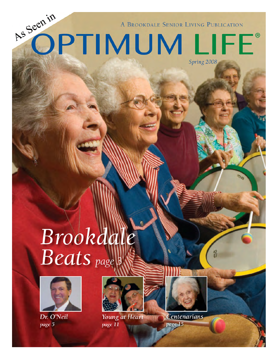A BROOKDALE SENIOR LIVING PUBLICATION

Spring 2008

OPTIMUM LIFE®

Brookdale **Beats** page 3



Dr. O'Neil page 5

As Seen in





Young at Heart **Centenarians** page 11 page 15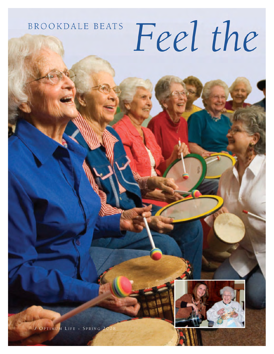## **BROOKDALE BEATS**

## Feel the



/ OPTIMUM LIFE - SPRING 2008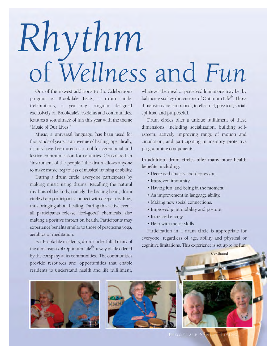## Rhythm<br>of Wellness and Fun

One of the newest additions to the Celebrations program is Brookdale Beats, a drum circle. Celebrations, a year-long program designed exclusively for Brookdale's residents and communities, features a soundtrack of fun this year with the theme "Music of Our Lives."

Music, a universal language, has been used for thousands of years as an avenue of healing. Specifically, drums have been used as a tool for ceremonial and festive communication for centuries. Considered an "instrument of the people," the drum allows anyone to make music, regardless of musical training or ability.

During a drum circle, everyone participates by making music using drums. Recalling the natural rhythms of the body, namely the beating heart, drum circles help participants connect with deeper rhythms, thus bringing about healing. During this active event, all participants release "feel-good" chemicals, also making a positive impact on health. Participants may experience benefits similar to those of practicing yoga, aerobics or meditation.

For Brookdale residents, drum circles fulfill many of the dimensions of Optimum Life®, a way of life offered by the company at its communities. The communities provide resources and opportunities that enable residents to understand health and life fulfillment,

whatever their real or perceived limitations may be, by balancing six key dimensions of Optimum Life®. Those dimensions are: emotional, intellectual, physical, social, spiritual and purposeful.

Drum circles offer a unique fulfillment of these dimensions, including socialization, building selfesteem, actively improving range of motion and circulation, and participating in memory protective programming components.

In addition, drum circles offer many more health benefits, including:

- Decreased anxiety and depression.
- Improved immunity.
- Having fun, and being in the moment.
- An improvement in language ability.
- · Making new social connections.
- Improved joint mobility and posture.
- · Increased energy.
- · Help with motor skills.

Participation in a drum circle is appropriate for everyone, regardless of age, ability and physical or cognitive limitations. This experience is set up to be fun

Continued







**BROOKDALE SE**